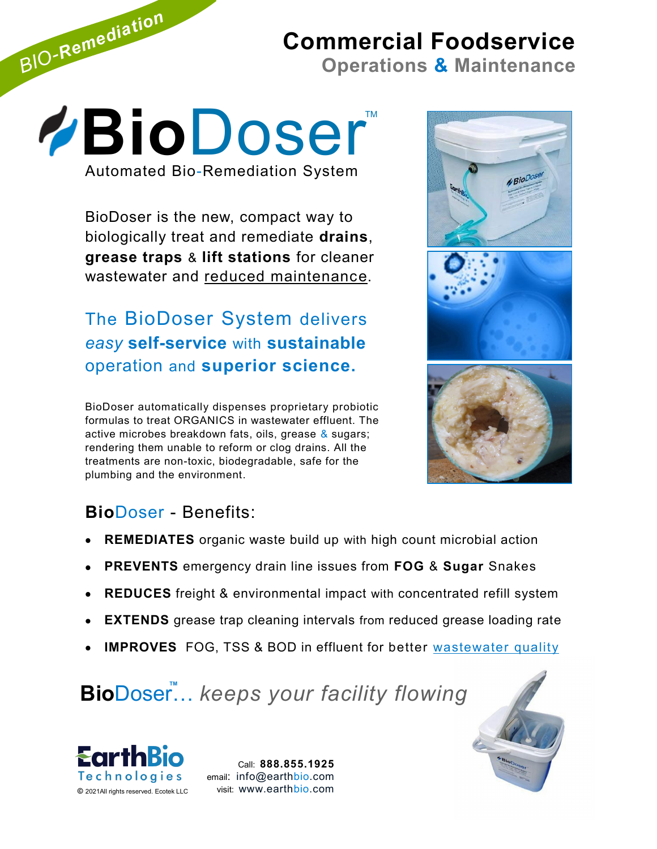# **Commercial Foodservice**

**Operations & Maintenance**

**BioDoser** Automated Bio-Remediation System

*BIO-Remediation*

BioDoser is the new, compact way to biologically treat and remediate **drains**, **grease traps** & **lift stations** for cleaner wastewater and reduced maintenance.

The BioDoser System delivers *easy* **self-service** with **sustainable** operation and **superior science.**

BioDoser automatically dispenses proprietary probiotic formulas to treat ORGANICS in wastewater effluent. The active microbes breakdown fats, oils, grease & sugars; rendering them unable to reform or clog drains. All the treatments are non-toxic, biodegradable, safe for the plumbing and the environment.







# **Bio**Doser - Benefits:

- **REMEDIATES** organic waste build up with high count microbial action
- **PREVENTS** emergency drain line issues from **FOG** & **Sugar** Snakes
- **REDUCES** freight & environmental impact with concentrated refill system
- **EXTENDS** grease trap cleaning intervals from reduced grease loading rate
- **IMPROVES** FOG, TSS & BOD in effluent for better wastewater quality

BioDoser... keeps your facility flowing



Call: **888.855.1925** email: info@earthbio.com visit: www.earthbio.com